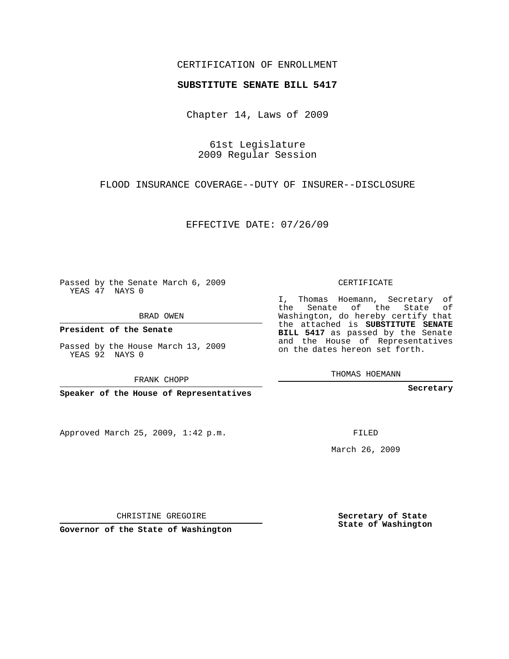## CERTIFICATION OF ENROLLMENT

## **SUBSTITUTE SENATE BILL 5417**

Chapter 14, Laws of 2009

61st Legislature 2009 Regular Session

FLOOD INSURANCE COVERAGE--DUTY OF INSURER--DISCLOSURE

EFFECTIVE DATE: 07/26/09

Passed by the Senate March 6, 2009 YEAS 47 NAYS 0

BRAD OWEN

**President of the Senate**

Passed by the House March 13, 2009 YEAS 92 NAYS 0

FRANK CHOPP

**Speaker of the House of Representatives**

Approved March 25, 2009, 1:42 p.m.

CERTIFICATE

I, Thomas Hoemann, Secretary of the Senate of the State of Washington, do hereby certify that the attached is **SUBSTITUTE SENATE BILL 5417** as passed by the Senate and the House of Representatives on the dates hereon set forth.

THOMAS HOEMANN

**Secretary**

FILED

March 26, 2009

**Secretary of State State of Washington**

CHRISTINE GREGOIRE

**Governor of the State of Washington**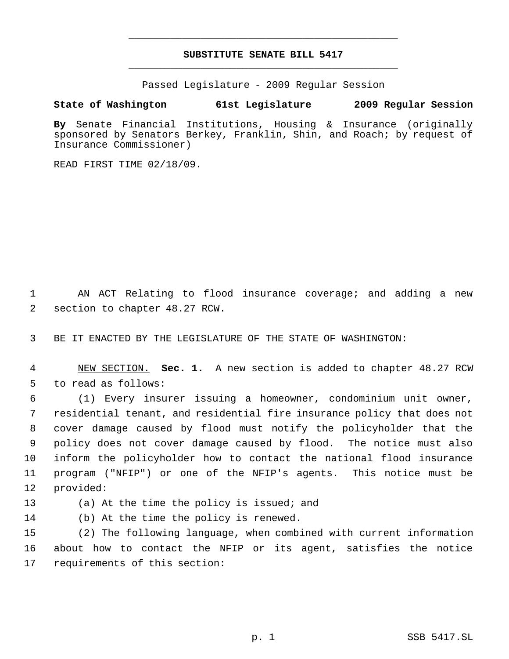## **SUBSTITUTE SENATE BILL 5417** \_\_\_\_\_\_\_\_\_\_\_\_\_\_\_\_\_\_\_\_\_\_\_\_\_\_\_\_\_\_\_\_\_\_\_\_\_\_\_\_\_\_\_\_\_

\_\_\_\_\_\_\_\_\_\_\_\_\_\_\_\_\_\_\_\_\_\_\_\_\_\_\_\_\_\_\_\_\_\_\_\_\_\_\_\_\_\_\_\_\_

Passed Legislature - 2009 Regular Session

## **State of Washington 61st Legislature 2009 Regular Session**

**By** Senate Financial Institutions, Housing & Insurance (originally sponsored by Senators Berkey, Franklin, Shin, and Roach; by request of Insurance Commissioner)

READ FIRST TIME 02/18/09.

 AN ACT Relating to flood insurance coverage; and adding a new section to chapter 48.27 RCW.

BE IT ENACTED BY THE LEGISLATURE OF THE STATE OF WASHINGTON:

 NEW SECTION. **Sec. 1.** A new section is added to chapter 48.27 RCW to read as follows:

 (1) Every insurer issuing a homeowner, condominium unit owner, residential tenant, and residential fire insurance policy that does not cover damage caused by flood must notify the policyholder that the policy does not cover damage caused by flood. The notice must also inform the policyholder how to contact the national flood insurance program ("NFIP") or one of the NFIP's agents. This notice must be provided:

(a) At the time the policy is issued; and

(b) At the time the policy is renewed.

 (2) The following language, when combined with current information about how to contact the NFIP or its agent, satisfies the notice requirements of this section: